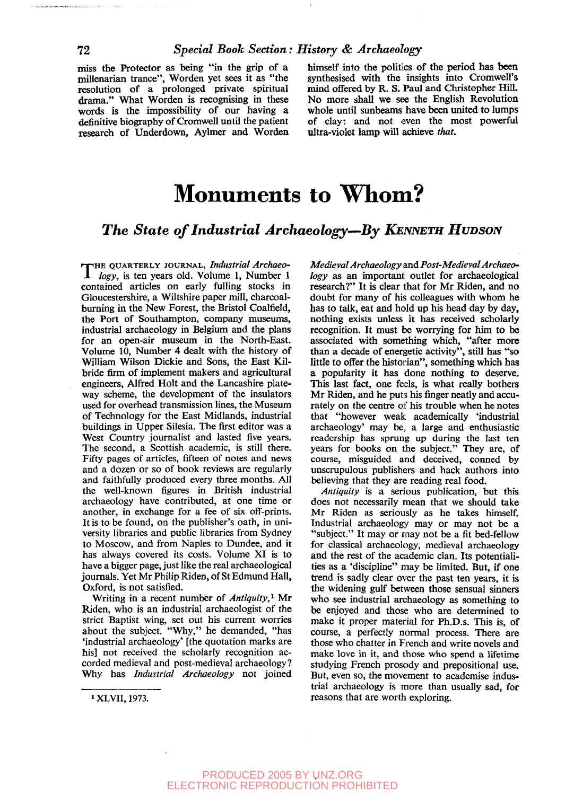miss the Protector as being "in the grip of a millenarian trance", Worden yet sees it as "the resolution of a prolonged private spiritual drama." What Worden is recognising in these words is the impossibility of our having a definitive biography of Cromwell until the patient research of Underdown, Aylmer and Worden

himself into the politics of the period has been synthesised with the insights into Cromwell's mind offered by R. S. Paul and Christopher Hill. No more shall we see the English Revolution whole until sunbeams have been united to lumps of clay: and not even the most powerful ultra-violet lamp will achieve *that.*

# **Monuments to Whom?**

#### *The State of Industrial Archaeology—By KENNETH HUDSON*

THE QUARTERLY JOURNAL, *Industrial Archaeo-*<br>  $\int$  *logy*, is ten years old. Volume 1, Number 1 *logy,* is ten years old. Volume 1, Number 1 contained articles on early fulling stocks in Gloucestershire, a Wiltshire paper mill, charcoalburning in the New Forest, the Bristol Coalfield, the Port of Southampton, company museums, industrial archaeology in Belgium and the plans for an open-air museum in the North-East. Volume 10, Number 4 dealt with the history of William Wilson Dickie and Sons, the East Kilbride firm of implement makers and agricultural engineers, Alfred Holt and the Lancashire plateway scheme, the development of the insulators used for overhead transmission lines, the Museum of Technology for the East Midlands, industrial buildings in Upper Silesia. The first editor was a West Country journalist and lasted five years. The second, a Scottish academic, is still there. Fifty pages of articles, fifteen of notes and news and a dozen or so of book reviews are regularly and faithfully produced every three months. All the well-known figures in British industrial archaeology have contributed, at one time or another, in exchange for a fee of six off-prints. It is to be found, on the publisher's oath, in university libraries and public libraries from Sydney to Moscow, and from Naples to Dundee, and it has always covered its costs. Volume XI is to have a bigger page, just like the real archaeological journals. Yet Mr Philip Riden, of St Edmund Hall, Oxford, is not satisfied.

Writing in a recent number of *Antiquity,<sup>1</sup>* Mr Riden, who is an industrial archaeologist of the strict Baptist wing, set out his current worries about the subject. "Why," he demanded, "has 'industrial archaeology' [the quotation marks are his] not received the scholarly recognition accorded medieval and post-medieval archaeology? Why has *Industrial Archaeology* not joined *Medieval Archaeology* and *Post-Medieval Archaeo-*

does not necessarily mean that we should take Mr Riden as seriously as he takes himself. Industrial archaeology may or may not be a "subject." It may or may not be a fit bed-fellow for classical archaeology, medieval archaeology and the rest of the academic clan. Its potentialities as a 'discipline" may be limited. But, if one trend is sadly clear over the past ten years, it is the widening gulf between those sensual sinners who see industrial archaeology as something to be enjoyed and those who are determined to make it proper material for Ph.D.s. This is, of course, a perfectly normal process. There are those who chatter in French and write novels and make love in it, and those who spend a lifetime studying French prosody and prepositional use. But, even so, the movement to academise industrial archaeology is more than usually sad, for reasons that are worth exploring.

*logy* as an important outlet for archaeological research?" It is clear that for Mr Riden, and no doubt for many of his colleagues with whom he has to talk, eat and hold up his head day by day, nothing exists unless it has received scholarly recognition. It must be worrying for him to be associated with something which, "after more than a decade of energetic activity", still has "so little to offer the historian", something which has a popularity it has done nothing to deserve. This last fact, one feels, is what really bothers Mr Riden, and he puts his finger neatly and accurately on the centre of his trouble when he notes that "however weak academically 'industrial archaeology' may be., a large and enthusiastic readership has sprung up during the last ten years for books on the subject." They are, of course, misguided and deceived, conned by unscrupulous publishers and hack authors into believing that they are reading real food. *Antiquity* is a serious publication, but this

<sup>1</sup>XLVII, 1973.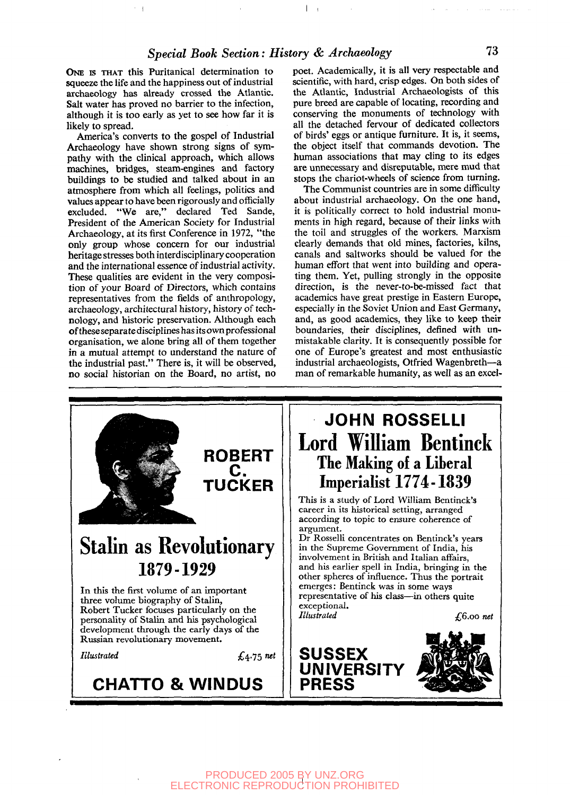ONE IS THAT this Puritanical determination to squeeze the life and the happiness out of industrial archaeology has already crossed the Atlantic. Salt water has proved no barrier to the infection, although it is too early as yet to see how far it is likely to spread.

America's converts to the gospel of Industrial Archaeology have shown strong signs of sympathy with the clinical approach, which allows machines, bridges, steam-engines and factory buildings to be studied and talked about in an atmosphere from which all feelings, politics and values appear to have been rigorously and officially excluded. "We are," declared Ted Sande, President of the American Society for Industrial Archaeology, at its first Conference in 1972, "the only group whose concern for our industrial heritage stresses both interdisciplinary cooperation and the international essence of industrial activity. These qualities are evident in the very composition of your Board of Directors, which contains representatives from the fields of anthropology, archaeology, architectural history, history of technology, and historic preservation. Although each of these separate disciplines has its own professional organisation, we alone bring all of them together in a mutual attempt to understand the nature of the industrial past." There is, it will be observed, no social historian on the Board, no artist, no

poet. Academically, it is all very respectable and scientific, with hard, crisp edges. On both sides of the Atlantic, Industrial Archaeologists of this pure breed are capable of locating, recording and conserving the monuments of technology with all the detached fervour of dedicated collectors of birds' eggs or antique furniture. It is, it seems, the object itself that commands devotion. The human associations that may cling to its edges are unnecessary and disreputable, mere mud that stops the chariot-wheels of science from turning.

The Communist countries are in some difficulty about industrial archaeology. On the one hand, it is politically correct to hold industrial monuments in high regard, because of their links with the toil and struggles of the workers. Marxism clearly demands that old mines, factories, kilns, canals and saltworks should be valued for the human effort that went into building and operating them. Yet, pulling strongly in the opposite direction, is the never-to-be-missed fact that academics have great prestige in Eastern Europe, especially in the Soviet Union and East Germany, and, as good academics, they like to keep their boundaries, their disciplines, defined with unmistakable clarity. It is consequently possible for one of Europe's greatest and most enthusiastic industrial archaeologists, Otfried Wagenbreth—a man of remarkable humanity, as well as an excel-

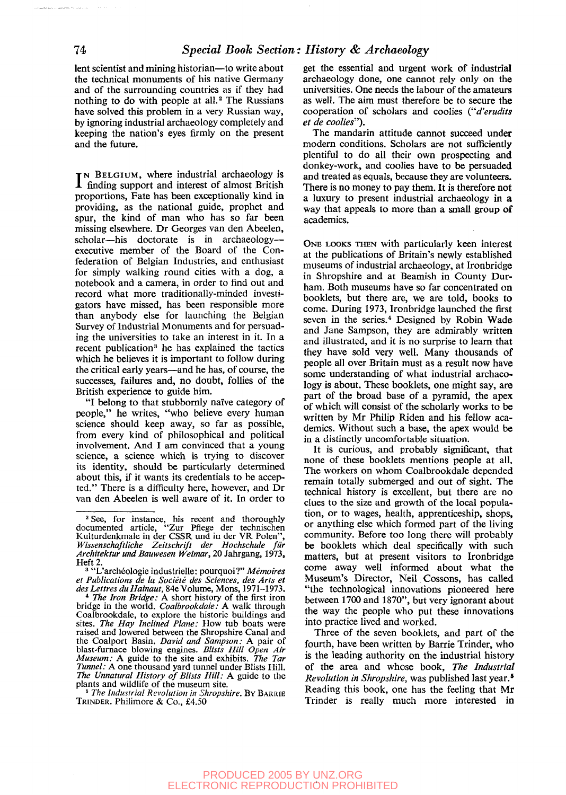lent scientist and mining historian—to write about the technical monuments of his native Germany and of the surrounding countries as if they had nothing to do with people at all.<sup>2</sup> The Russians have solved this problem in a very Russian way, by ignoring industrial archaeology completely and keeping the nation's eyes firmly on the present and the future.

I N BELGIUM, where industrial archaeology is finding support and interest of almost British proportions, Fate has been exceptionally kind in providing, as the national guide, prophet and spur, the kind of man who has so far been missing elsewhere. Dr Georges van den Abeelen, scholar—his doctorate is in archaeology executive member of the Board of the Confederation of Belgian Industries, and enthusiast for simply walking round cities with a dog, a notebook and a camera, in order to find out and record what more traditionally-minded investigators have missed, has been responsible more than anybody else for launching the Belgian Survey of Industrial Monuments and for persuading the universities to take an interest in it. In a mg the universities to take an interest in it. In a which he believes it is important to follow during the critical early years—and he has, of course, the successes, failures and, no doubt, follies of the British experience to guide him.

"I belong to that stubbornly naive category of people," he writes, "who believe every human science should keep away, so far as possible, from every kind of philosophical and political involvement. And I am convinced that a young science, a science which is trying to discover its identity, should be particularly determined about this, if it wants its credentials to be accepted." There is a difficulty here, however, and Dr van den Abeelen is well aware of it. In order to

Heft 2. 3 "L'archeologie industrielle: pourquoi?" *Memoires et Publications de la Societe des Sciences, des Arts et desLettresduHainaut,* 84e Volume, Mons, 1971-1973.

4  *The Iron Bridge: A* short history of the first iron bridge in the world. *Coalbrookdale: A* walk through Coalbrookdale, to explore the historic buildings and sites. *The Hay Inclined Plane:* How tub boats were raised and lowered between the Shropshire Canal and the Coalport Basin. *David and Sampson: A* pair of blast-furnace blowing engines. *Blists Hill Open Air Museum: A* guide to the site and exhibits. *The Tar Tunnel: A* one thousand yard tunnel under Blists Hill. *The Unnatural History of Blists Hill:* A guide to the plants and wildlife of the museum site.

5  *The Industrial Revolution in Shropshire.* BY BARRIE TRINDER. Philimore & Co., £4.50

get the essential and urgent work of industrial archaeology done, one cannot rely only on the universities. One needs the labour of the amateurs as well. The aim must therefore be to secure the cooperation of scholars and coolies *("d'erudits et de coolies").*

The mandarin attitude cannot succeed under modern conditions. Scholars are not sufficiently plentiful to do all their own prospecting and donkey-work, and coolies have to be persuaded and treated as equals, because they are volunteers. There is no money to pay them. It is therefore not a luxury to present industrial archaeology in a way that appeals to more than a small group of academics.

ONE LOOKS THEN with particularly keen interest at the publications of Britain's newly established museums of industrial archaeology, at Ironbridge in Shropshire and at Beamish in County Durham. Both museums have so far concentrated on booklets, but there are, we are told, books to come. During 1973, Ironbridge launched the first seven in the series.<sup>4</sup> Designed by Robin Wade and Jane Sampson, they are admirably written and illustrated, and it is no surprise to learn that they have sold very well. Many thousands of people all over Britain must as a result now have some understanding of what industrial archaeology is about. These booklets, one might say, are part of the broad base of a pyramid, the apex of which will consist of the scholarly works to be written by Mr Philip Riden and his fellow academics. Without such a base, the apex would be in a distinctly uncomfortable situation.

It is curious, and probably significant, that none of these booklets mentions people at all. The workers on whom Coalbrookdale depended remain totally submerged and out of sight. The technical history is excellent, but there are no clues to the size and growth of the local population, or to wages, health, apprenticeship, shops, or anything else which formed part of the living community. Before too long there will probably be booklets which deal specifically with such matters, but at present visitors to Ironbridge come away well informed about what the Museum's Director, Neil Cossons, has called "the technological innovations pioneered here between 1700 and 1870", but very ignorant about the way the people who put these innovations into practice lived and worked.

Three of the seven booklets, and part of the fourth, have been written by Barrie Trinder, who is the leading authority on the industrial history of the area and whose book, *The Industrial Revolution in Shropshire,* was published last year.<sup>5</sup> Reading this book, one has the feeling that Mr Trinder is really much more interested in

<sup>2</sup> See, for instance, his recent and thoroughly documented article, "Zur Pflege der technischen Kulturdenkmale in der CSSR und in der VR Polen", *Wissenschaftliche Zeitschrift der Hochschule fur Architektur und Bauwesen Weimar,* 20 Jahrgang, 1973,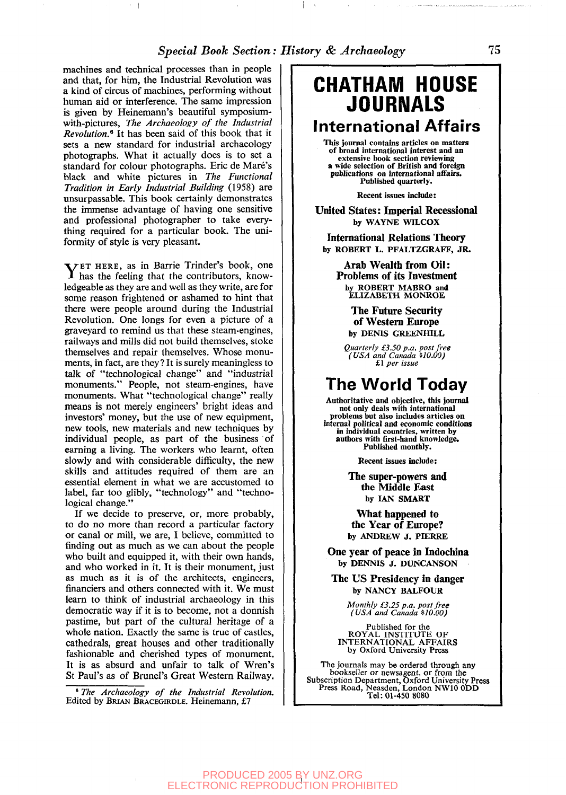#### *Special Book Section: History & Archaeology* **75**

 $\mathbf{I}$ 

machines and technical processes than in people and that, for him, the Industrial Revolution was a kind of circus of machines, performing without human aid or interference. The same impression is given by Heinemann's beautiful symposiumwith-pictures, *The Archaeology of the Industrial Revolution.<sup>9</sup>* It has been said of this book that it sets a new standard for industrial archaeology photographs. What it actually does is to set a standard for colour photographs. Eric de Mare's black and white pictures in *The Functional Tradition in Early Industrial Building* (1958) are unsurpassable. This book certainly demonstrates the immense advantage of having one sensitive and professional photographer to take everything required for a particular book. The uniformity of style is very pleasant.

 $\sim$   $+$ 

YET HERE, as in Barrie Trinder's book, one has the feeling that the contributors, knowhas the feeling that the contributors, knowledgeable as they are and well as they write, are for some reason frightened or ashamed to hint that there were people around during the Industrial Revolution. One longs for even a picture of a graveyard to remind us that these steam-engines, railways and mills did not build themselves, stoke themselves and repair themselves. Whose monuments, in fact, are they? It is surely meaningless to talk of "technological change" and "industrial monuments." People, not steam-engines, have monuments. What "technological change" really means is not merely engineers' bright ideas and investors' money, but the use of new equipment, new tools, new materials and new techniques by individual people, as part of the business of earning a living. The workers who learnt, often slowly and with considerable difficulty, the new skills and attitudes required of them are an essential element in what we are accustomed to label, far too glibly, "technology" and "technological change."

If we decide to preserve, or, more probably, to do no more than record a particular factory or canal or mill, we are, I believe, committed to finding out as much as we can about the people who built and equipped it, with their own hands, and who worked in it. It is their monument, just as much as it is of the architects, engineers, financiers and others connected with it. We must learn to think of industrial archaeology in this democratic way if it is to become, not a donnish pastime, but part of the cultural heritage of a whole nation. Exactly the same is true of castles, cathedrals, great houses and other traditionally fashionable and cherished types of monument. It is as absurd and unfair to talk of Wren's St Paul's as of Brunei's Great Western Railway.

6  *The Archaeology of the Industrial Revolution.* Edited by BRIAN BRACEGIRDLE. Heinemann, £7

### **CHATHAM HOUSE JOURNALS International Affairs**

This journal contains articles on matters of broad international interest and an extensive book section reviewing a wide selection of British and foreign publications on international affairs. Published quarterly.

Recent issues include:

**United States: Imperial Recessional** by WAYNE WILCOX

**International Relations Theory** by ROBERT L. PFALTZGRAFF, JR.

**Arab Wealth from Oil: Problems of its Investment** by ROBERT MABRO and ELIZABETH MONROE

> **The Future Security of Western Europe** by DENIS GREENHILL

*Quarterly £3.50 p.a. post free (USA and Canada \$10.00)* £1 *per issue*

### **The World Today**

Authoritative and objective, this journal not only deals with international problems but also includes articles on internal political and economic conditions in individual countries, written by authors with first-hand knowledge. Published monthly.

Recent issues include:

**The super-powers and the Middle East** by IAN SMART

**What happened to the Year of Europe?** by ANDREW J. PIERRE

**One year of peace in Indochina** by DENNIS J. DUNCANSON

**The US Presidency in danger** by NANCY BALFOUR

*Monthly £3.25 p.a. post free (USA and Canada \$10.00)*

Published for the<br>ROYAL INSTITUTE OF<br>INTERNATIONAL AFFAIRS by Oxford University Press

The journals may be ordered through any bookseller or newsagent, or from the<br>Subscription Department, Oxford University Press<br>Press Road, Neasden, London NW10 0DD<br>Tel: 01-450 8080

PRODUCED 2005 BY UNZ.ORG ELECTRONIC REPRODUCTION PROHIBITED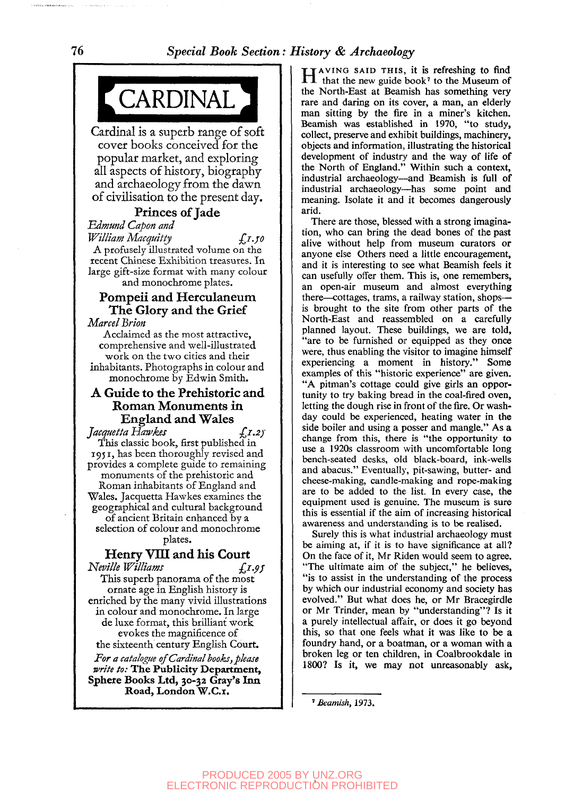## CARDINAL *it^mammmm—m*

Cardinal is a superb range of soft cover books conceived for the popular market, and exploring all aspects of history, biography and archaeology from the dawn of civilisation to the present day.

#### **Princes of Jade**

*Edmund Capon and*

*William Macquitty -J°* A profusely illustrated volume on the recent Chinese Exhibition treasures. In large gift-si2e format with many colour and monochrome plates.

#### **Pompeii and Herculaneum The Glory and the Grief**

*Marcel Brion* 

Acclaimed as the most attractive, comprehensive and well-illustrated work on the two cities and their inhabitants. Photographs in colour and monochrome by Edwin Smith.

#### **A Guide to the Prehistoric and Roman Monuments in England and Wales**

*Jacquetta Hawkes •£<sup>1</sup> - 2 )'* This classic book, first published in 1951, has been thoroughly revised and provides a complete guide to remaining monuments of the prehistoric and Roman inhabitants of England and Wales. Jacquetta Hawkes examines the geographical and cultural background of ancient Britain enhanced by a selection of colour and monochrome plates.

#### Henry VIII and his Court

*Neville Williams*  $f_x \rightarrow f_y \rightarrow f_z$ 

This superb panorama of the most ornate age in English history is enriched by the many vivid illustrations in colour and monochrome. In large de luxe format, this brilliant work evokes the magnificence of the sixteenth century English Court.

*For a catalogue of Cardinal books, please write to:* **The Publicity Department, Sphere Books Ltd, 30-32 Gray's Inn Road, London W.C.i.**

HAVING SAID THIS, it is refreshing to find<br>that the new guide book<sup>7</sup> to the Museum of that the new guide book<sup>7</sup> to the Museum of the North-East at Beamish has something very rare and daring on its cover, a man, an elderly man sitting by the fire in a miner's kitchen. Beamish was established in 1970, "to study, collect, preserve and exhibit buildings, machinery, objects and information, illustrating the historical development of industry and the way of life of the North of England." Within such a context, industrial archaeology—and Beamish is full of industrial archaeology—has some point and meaning. Isolate it and it becomes dangerously arid.

There are those, blessed with a strong imagination, who can bring the dead bones of the past alive without help from museum curators or anyone else Others need a little encouragement, and it is interesting to see what Beamish feels it can usefully offer them. This is, one remembers, an open-air museum and almost everything there—cottages, trams, a railway station, shops is brought to the site from other parts of the North-East and reassembled on a carefully planned layout. These buildings, we are told, "are to be furnished or equipped as they once were, thus enabling the visitor to imagine himself experiencing a moment in history." Some examples of this "historic experience" are given. "A pitman's cottage could give girls an opportunity to try baking bread in the coal-fired oven, letting the dough rise in front of the fire. Or washday could be experienced, heating water in **the** side boiler and using a posser and mangle." As **a** change from this, there is "the opportunity to use a 1920s classroom with uncomfortable long bench-seated desks, old black-board, ink-wells and abacus." Eventually, pit-sawing, butter- and cheese-making, candle-making and rope-making are to be added to the list. In every case, the equipment used is genuine. The museum is sure this is essential if the aim of increasing historical awareness and understanding is to be realised.

Surely this is what industrial archaeology must be aiming at, if it is to have significance at all? On the face of it, Mr Riden would seem to agree. "The ultimate aim of the subject," he believes, "is to assist in the understanding of the process by which our industrial economy and society has evolved." But what does he, or Mr Bracegirdle or Mr Trinder, mean by "understanding"? Is it a purely intellectual affair, or does it go beyond this, so that one feels what it was like to be **a** foundry hand, or a boatman, or a woman with a broken leg or ten children, in Coalbrookdale in 1800? Is it, we may not unreasonably ask,

' *Beamish,* 1973.